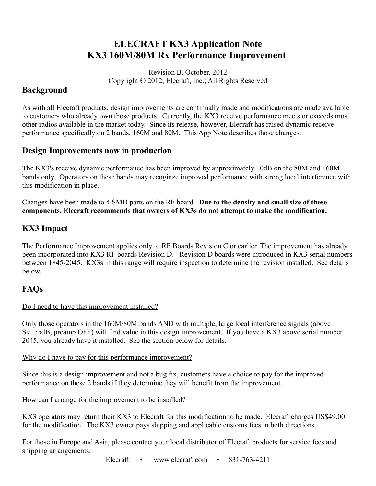# **ELECRAFT KX3 Application Note KX3 160M/80M Rx Performance Improvement**

Revision B, October, 2012 Copyright © 2012, Elecraft, Inc.; All Rights Reserved

### **Background**

As with all Elecraft products, design improvements are continually made and modifications are made available to customers who already own those products. Currently, the KX3 receive performance meets or exceeds most other radios available in the market today. Since its release, however, Elecraft has raised dynamic receive performance specifically on 2 bands, 160M and 80M. This App Note describes those changes.

#### **Design Improvements now in production**

The KX3's receive dynamic performance has been improved by approximately 10dB on the 80M and 160M bands only. Operators on these bands may recoginze improved performance with strong local interference with this modification in place.

Changes have been made to 4 SMD parts on the RF board. **Due to the density and small size of these components, Elecraft recommends that owners of KX3s do not attempt to make the modification.**

### **KX3 Impact**

The Performance Improvement applies only to RF Boards Revision C or earlier. The improvement has already been incorporated into KX3 RF boards Revision D. Revision D boards were introduced in KX3 serial numbers between 1845-2045. KX3s in this range will require inspection to determine the revision installed. See details below.

### **FAQs**

#### Do I need to have this improvement installed?

Only those operators in the 160M/80M bands AND with multiple, large local interference signals (above S9+55dB, preamp OFF) will find value in this design improvement. If you have a KX3 above serial number 2045, you already have it installed. See the section below for details.

#### Why do I have to pay for this performance improvement?

Since this is a design improvement and not a bug fix, customers have a choice to pay for the improved performance on these 2 bands if they determine they will benefit from the improvement.

#### How can I arrange for the improvement to be installed?

KX3 operators may return their KX3 to Elecraft for this modification to be made. Elecraft charges US\$49.00 for the modification. The KX3 owner pays shipping and applicable customs fees in both directions.

For those in Europe and Asia, please contact your local distributor of Elecraft products for service fees and shipping arrangements.

Elecraft • www.elecraft.com • 831-763-4211